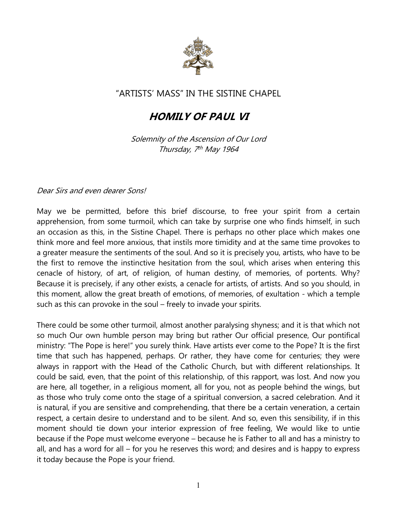

## "ARTISTS' MASS" IN THE SISTINE CHAPEL

## *HOMILY OF PAUL VI*

*Solemnity of the Ascension of Our Lord Thursday, 7 th May 1964*

*Dear Sirs and even dearer Sons!*

May we be permitted, before this brief discourse, to free your spirit from a certain apprehension, from some turmoil, which can take by surprise one who finds himself, in such an occasion as this, in the Sistine Chapel. There is perhaps no other place which makes one think more and feel more anxious, that instils more timidity and at the same time provokes to a greater measure the sentiments of the soul. And so it is precisely you, artists, who have to be the first to remove the instinctive hesitation from the soul, which arises when entering this cenacle of history, of art, of religion, of human destiny, of memories, of portents. Why? Because it is precisely, if any other exists, a cenacle for artists, of artists. And so you should, in this moment, allow the great breath of emotions, of memories, of exultation - which a temple such as this can provoke in the soul – freely to invade your spirits.

There could be some other turmoil, almost another paralysing shyness; and it is that which not so much Our own humble person may bring but rather Our official presence, Our pontifical ministry: "The Pope is here!" you surely think. Have artists ever come to the Pope? It is the first time that such has happened, perhaps. Or rather, they have come for centuries; they were always in rapport with the Head of the Catholic Church, but with different relationships. It could be said, even, that the point of this relationship, of this rapport, was lost. And now you are here, all together, in a religious moment, all for you, not as people behind the wings, but as those who truly come onto the stage of a spiritual conversion, a sacred celebration. And it is natural, if you are sensitive and comprehending, that there be a certain veneration, a certain respect, a certain desire to understand and to be silent. And so, even this sensibility, if in this moment should tie down your interior expression of free feeling, We would like to untie because if the Pope must welcome everyone – because he is Father to all and has a ministry to all, and has a word for all – for you he reserves this word; and desires and is happy to express it today because the Pope is your friend.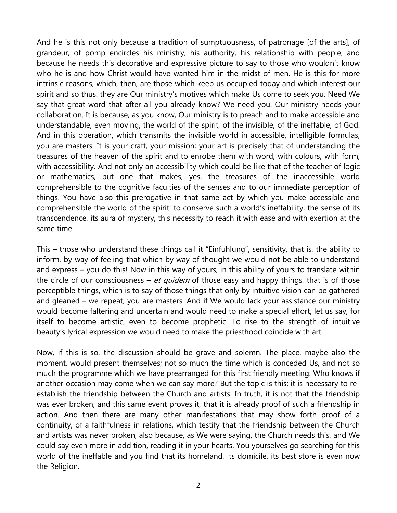And he is this not only because a tradition of sumptuousness, of patronage [of the arts], of grandeur, of pomp encircles his ministry, his authority, his relationship with people, and because he needs this decorative and expressive picture to say to those who wouldn't know who he is and how Christ would have wanted him in the midst of men. He is this for more intrinsic reasons, which, then, are those which keep us occupied today and which interest our spirit and so thus: they are Our ministry's motives which make Us come to seek you. Need We say that great word that after all you already know? We need you. Our ministry needs your collaboration. It is because, as you know, Our ministry is to preach and to make accessible and understandable, even moving, the world of the spirit, of the invisible, of the ineffable, of God. And in this operation, which transmits the invisible world in accessible, intelligible formulas, you are masters. It is your craft, your mission; your art is precisely that of understanding the treasures of the heaven of the spirit and to enrobe them with word, with colours, with form, with accessibility. And not only an accessibility which could be like that of the teacher of logic or mathematics, but one that makes, yes, the treasures of the inaccessible world comprehensible to the cognitive faculties of the senses and to our immediate perception of things. You have also this prerogative in that same act by which you make accessible and comprehensible the world of the spirit: to conserve such a world's ineffability, the sense of its transcendence, its aura of mystery, this necessity to reach it with ease and with exertion at the same time.

This – those who understand these things call it "Einfuhlung", sensitivity, that is, the ability to inform, by way of feeling that which by way of thought we would not be able to understand and express – you do this! Now in this way of yours, in this ability of yours to translate within the circle of our consciousness – *et quidem* of those easy and happy things, that is of those perceptible things, which is to say of those things that only by intuitive vision can be gathered and gleaned – we repeat, you are masters. And if We would lack your assistance our ministry would become faltering and uncertain and would need to make a special effort, let us say, for itself to become artistic, even to become prophetic. To rise to the strength of intuitive beauty's lyrical expression we would need to make the priesthood coincide with art.

Now, if this is so, the discussion should be grave and solemn. The place, maybe also the moment, would present themselves; not so much the time which is conceded Us, and not so much the programme which we have prearranged for this first friendly meeting. Who knows if another occasion may come when we can say more? But the topic is this: it is necessary to reestablish the friendship between the Church and artists. In truth, it is not that the friendship was ever broken; and this same event proves it, that it is already proof of such a friendship in action. And then there are many other manifestations that may show forth proof of a continuity, of a faithfulness in relations, which testify that the friendship between the Church and artists was never broken, also because, as We were saying, the Church needs this, and We could say even more in addition, reading it in your hearts. You yourselves go searching for this world of the ineffable and you find that its homeland, its domicile, its best store is even now the Religion.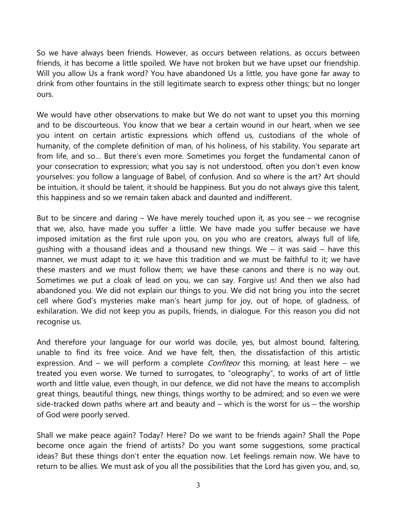So we have always been friends. However, as occurs between relations, as occurs between friends, it has become a little spoiled. We have not broken but we have upset our friendship. Will you allow Us a frank word? You have abandoned Us a little, you have gone far away to drink from other fountains in the still legitimate search to express other things; but no longer ours.

We would have other observations to make but We do not want to upset you this morning and to be discourteous. You know that we bear a certain wound in our heart, when we see you intent on certain artistic expressions which offend us, custodians of the whole of humanity, of the complete definition of man, of his holiness, of his stability. You separate art from life, and so… But there's even more. Sometimes you forget the fundamental canon of your consecration to expression; what you say is not understood, often you don't even know yourselves: you follow a language of Babel, of confusion. And so where is the art? Art should be intuition, it should be talent, it should be happiness. But you do not always give this talent, this happiness and so we remain taken aback and daunted and indifferent.

But to be sincere and daring – We have merely touched upon it, as you see – we recognise that we, also, have made you suffer a little. We have made you suffer because we have imposed imitation as the first rule upon you, on you who are creators, always full of life, gushing with a thousand ideas and a thousand new things. We  $-$  it was said  $-$  have this manner, we must adapt to it; we have this tradition and we must be faithful to it; we have these masters and we must follow them; we have these canons and there is no way out. Sometimes we put a cloak of lead on you, we can say. Forgive us! And then we also had abandoned you. We did not explain our things to you. We did not bring you into the secret cell where God's mysteries make man's heart jump for joy, out of hope, of gladness, of exhilaration. We did not keep you as pupils, friends, in dialogue. For this reason you did not recognise us.

And therefore your language for our world was docile, yes, but almost bound, faltering, unable to find its free voice. And we have felt, then, the dissatisfaction of this artistic expression. And – we will perform a complete *Confiteor* this morning, at least here – we treated you even worse. We turned to surrogates, to "oleography", to works of art of little worth and little value, even though, in our defence, we did not have the means to accomplish great things, beautiful things, new things, things worthy to be admired; and so even we were side-tracked down paths where art and beauty and – which is the worst for us – the worship of God were poorly served.

Shall we make peace again? Today? Here? Do we want to be friends again? Shall the Pope become once again the friend of artists? Do you want some suggestions, some practical ideas? But these things don't enter the equation now. Let feelings remain now. We have to return to be allies. We must ask of you all the possibilities that the Lord has given you, and, so,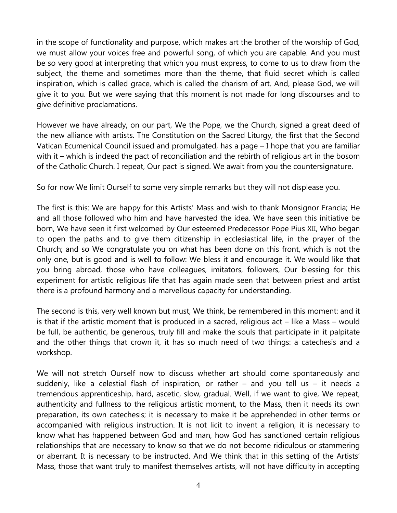in the scope of functionality and purpose, which makes art the brother of the worship of God, we must allow your voices free and powerful song, of which you are capable. And you must be so very good at interpreting that which you must express, to come to us to draw from the subject, the theme and sometimes more than the theme, that fluid secret which is called inspiration, which is called grace, which is called the charism of art. And, please God, we will give it to you. But we were saying that this moment is not made for long discourses and to give definitive proclamations.

However we have already, on our part, We the Pope, we the Church, signed a great deed of the new alliance with artists. The Constitution on the Sacred Liturgy, the first that the Second Vatican Ecumenical Council issued and promulgated, has a page – I hope that you are familiar with it – which is indeed the pact of reconciliation and the rebirth of religious art in the bosom of the Catholic Church. I repeat, Our pact is signed. We await from you the countersignature.

So for now We limit Ourself to some very simple remarks but they will not displease you.

The first is this: We are happy for this Artists' Mass and wish to thank Monsignor Francia; He and all those followed who him and have harvested the idea. We have seen this initiative be born, We have seen it first welcomed by Our esteemed Predecessor Pope Pius XII, Who began to open the paths and to give them citizenship in ecclesiastical life, in the prayer of the Church; and so We congratulate you on what has been done on this front, which is not the only one, but is good and is well to follow: We bless it and encourage it. We would like that you bring abroad, those who have colleagues, imitators, followers, Our blessing for this experiment for artistic religious life that has again made seen that between priest and artist there is a profound harmony and a marvellous capacity for understanding.

The second is this, very well known but must, We think, be remembered in this moment: and it is that if the artistic moment that is produced in a sacred, religious act – like a Mass – would be full, be authentic, be generous, truly fill and make the souls that participate in it palpitate and the other things that crown it, it has so much need of two things: a catechesis and a workshop.

We will not stretch Ourself now to discuss whether art should come spontaneously and suddenly, like a celestial flash of inspiration, or rather – and you tell us – it needs a tremendous apprenticeship, hard, ascetic, slow, gradual. Well, if we want to give, We repeat, authenticity and fullness to the religious artistic moment, to the Mass, then it needs its own preparation, its own catechesis; it is necessary to make it be apprehended in other terms or accompanied with religious instruction. It is not licit to invent a religion, it is necessary to know what has happened between God and man, how God has sanctioned certain religious relationships that are necessary to know so that we do not become ridiculous or stammering or aberrant. It is necessary to be instructed. And We think that in this setting of the Artists' Mass, those that want truly to manifest themselves artists, will not have difficulty in accepting